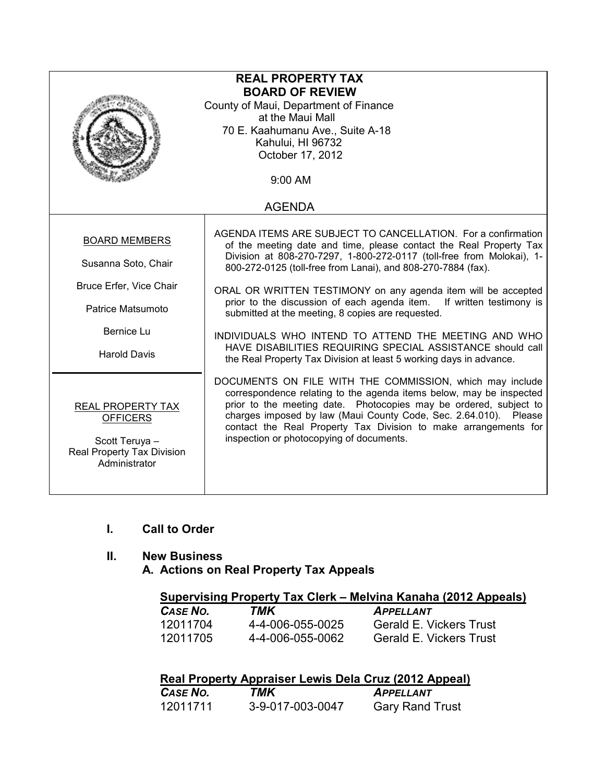| <b>REAL PROPERTY TAX</b><br><b>BOARD OF REVIEW</b><br>County of Maui, Department of Finance<br>at the Maui Mall<br>70 E. Kaahumanu Ave., Suite A-18<br>Kahului, HI 96732<br>October 17, 2012 |                                                                                                                                                                                                                                                                                                                                                                                                                                                                                                                                                                                                                                                                       |  |
|----------------------------------------------------------------------------------------------------------------------------------------------------------------------------------------------|-----------------------------------------------------------------------------------------------------------------------------------------------------------------------------------------------------------------------------------------------------------------------------------------------------------------------------------------------------------------------------------------------------------------------------------------------------------------------------------------------------------------------------------------------------------------------------------------------------------------------------------------------------------------------|--|
|                                                                                                                                                                                              | 9:00 AM                                                                                                                                                                                                                                                                                                                                                                                                                                                                                                                                                                                                                                                               |  |
|                                                                                                                                                                                              | <b>AGENDA</b>                                                                                                                                                                                                                                                                                                                                                                                                                                                                                                                                                                                                                                                         |  |
| <b>BOARD MEMBERS</b><br>Susanna Soto, Chair<br>Bruce Erfer, Vice Chair<br>Patrice Matsumoto<br>Bernice Lu<br><b>Harold Davis</b>                                                             | AGENDA ITEMS ARE SUBJECT TO CANCELLATION. For a confirmation<br>of the meeting date and time, please contact the Real Property Tax<br>Division at 808-270-7297, 1-800-272-0117 (toll-free from Molokai), 1-<br>800-272-0125 (toll-free from Lanai), and 808-270-7884 (fax).<br>ORAL OR WRITTEN TESTIMONY on any agenda item will be accepted<br>prior to the discussion of each agenda item. If written testimony is<br>submitted at the meeting, 8 copies are requested.<br>INDIVIDUALS WHO INTEND TO ATTEND THE MEETING AND WHO<br>HAVE DISABILITIES REQUIRING SPECIAL ASSISTANCE should call<br>the Real Property Tax Division at least 5 working days in advance. |  |
| REAL PROPERTY TAX<br><b>OFFICERS</b><br>Scott Teruya -<br>Real Property Tax Division<br>Administrator                                                                                        | DOCUMENTS ON FILE WITH THE COMMISSION, which may include<br>correspondence relating to the agenda items below, may be inspected<br>prior to the meeting date. Photocopies may be ordered, subject to<br>charges imposed by law (Maui County Code, Sec. 2.64.010). Please<br>contact the Real Property Tax Division to make arrangements for<br>inspection or photocopying of documents.                                                                                                                                                                                                                                                                               |  |

#### I. Call to Order

## II. New Business

A. Actions on Real Property Tax Appeals

|          |                  | Supervising Property Tax Clerk – Melvina Kanaha (2012 Appeals) |
|----------|------------------|----------------------------------------------------------------|
| CASE NO. | TMK              | <b>APPELLANT</b>                                               |
| 10011704 | A A NNA NEE NNOE | Corold E. Vickore Truet                                        |

| CASE IVU. | <i>I IVIT</i>    | <i>APPELLANI</i>               |
|-----------|------------------|--------------------------------|
| 12011704  | 4-4-006-055-0025 | <b>Gerald E. Vickers Trust</b> |
| 12011705  | 4-4-006-055-0062 | <b>Gerald E. Vickers Trust</b> |

| Real Property Appraiser Lewis Dela Cruz (2012 Appeal) |                  |                        |
|-------------------------------------------------------|------------------|------------------------|
| CASE NO.                                              | TMK              | <b>APPELLANT</b>       |
| 12011711                                              | 3-9-017-003-0047 | <b>Gary Rand Trust</b> |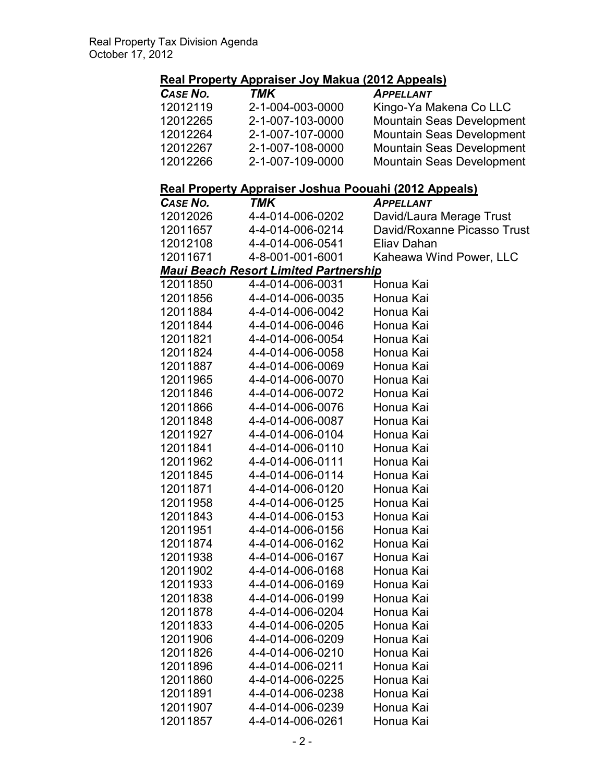# Real Property Appraiser Joy Makua (2012 Appeals)

| CASE NO. | TMK              | <b>APPELLANT</b>                 |
|----------|------------------|----------------------------------|
| 12012119 | 2-1-004-003-0000 | Kingo-Ya Makena Co LLC           |
| 12012265 | 2-1-007-103-0000 | <b>Mountain Seas Development</b> |
| 12012264 | 2-1-007-107-0000 | <b>Mountain Seas Development</b> |
| 12012267 | 2-1-007-108-0000 | <b>Mountain Seas Development</b> |
| 12012266 | 2-1-007-109-0000 | <b>Mountain Seas Development</b> |

#### Real Property Appraiser Joshua Poouahi (2012 Appeals)

|          | <u> Koal Freporty Applaiser 6031100 Foodalli (2012 Appeals)</u> |                             |
|----------|-----------------------------------------------------------------|-----------------------------|
| CASE NO. | TMK                                                             | APPELLANT                   |
| 12012026 | 4-4-014-006-0202                                                | David/Laura Merage Trust    |
| 12011657 | 4-4-014-006-0214                                                | David/Roxanne Picasso Trust |
| 12012108 | 4-4-014-006-0541                                                | Eliav Dahan                 |
| 12011671 | 4-8-001-001-6001                                                | Kaheawa Wind Power, LLC     |
|          | <b>Maui Beach Resort Limited Partnership</b>                    |                             |
| 12011850 | 4-4-014-006-0031                                                | Honua Kai                   |
| 12011856 | 4-4-014-006-0035                                                | Honua Kai                   |
| 12011884 | 4-4-014-006-0042                                                | Honua Kai                   |
| 12011844 | 4-4-014-006-0046                                                | Honua Kai                   |
| 12011821 | 4-4-014-006-0054                                                | Honua Kai                   |
| 12011824 | 4-4-014-006-0058                                                | Honua Kai                   |
| 12011887 | 4-4-014-006-0069                                                | Honua Kai                   |
| 12011965 | 4-4-014-006-0070                                                | Honua Kai                   |
| 12011846 | 4-4-014-006-0072                                                | Honua Kai                   |
| 12011866 | 4-4-014-006-0076                                                | Honua Kai                   |
| 12011848 | 4-4-014-006-0087                                                | Honua Kai                   |
| 12011927 | 4-4-014-006-0104                                                | Honua Kai                   |
| 12011841 | 4-4-014-006-0110                                                | Honua Kai                   |
| 12011962 | 4-4-014-006-0111                                                | Honua Kai                   |
| 12011845 | 4-4-014-006-0114                                                | Honua Kai                   |
| 12011871 | 4-4-014-006-0120                                                | Honua Kai                   |
| 12011958 | 4-4-014-006-0125                                                | Honua Kai                   |
| 12011843 | 4-4-014-006-0153                                                | Honua Kai                   |
| 12011951 | 4-4-014-006-0156                                                | Honua Kai                   |
| 12011874 | 4-4-014-006-0162                                                | Honua Kai                   |
| 12011938 | 4-4-014-006-0167                                                | Honua Kai                   |
| 12011902 | 4-4-014-006-0168                                                | Honua Kai                   |
| 12011933 | 4-4-014-006-0169                                                | Honua Kai                   |
| 12011838 | 4-4-014-006-0199                                                | Honua Kai                   |
| 12011878 | 4-4-014-006-0204                                                | Honua Kai                   |
| 12011833 | 4-4-014-006-0205                                                | Honua Kai                   |
| 12011906 | 4-4-014-006-0209                                                | Honua Kai                   |
| 12011826 | 4-4-014-006-0210                                                | Honua Kai                   |
| 12011896 | 4-4-014-006-0211                                                | Honua Kai                   |
| 12011860 | 4-4-014-006-0225                                                | Honua Kai                   |
| 12011891 | 4-4-014-006-0238                                                | Honua Kai                   |
| 12011907 | 4-4-014-006-0239                                                | Honua Kai                   |
| 12011857 | 4-4-014-006-0261                                                | Honua Kai                   |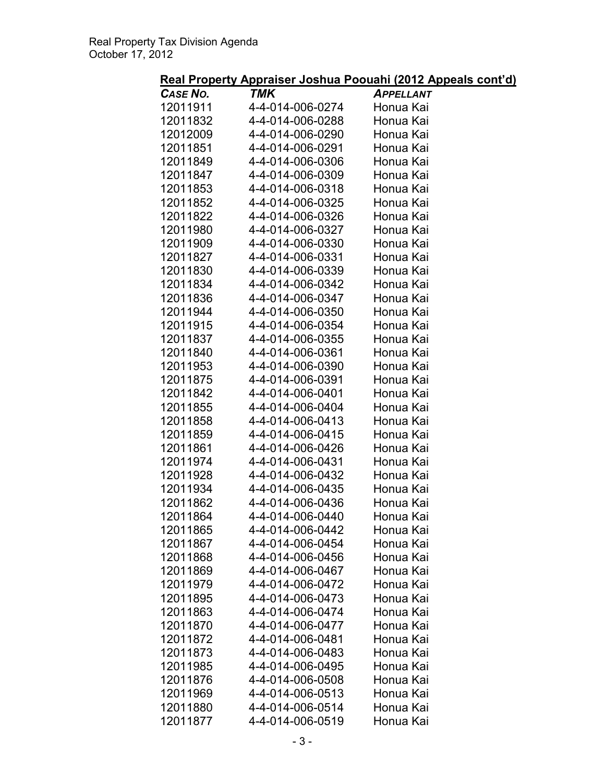## Real Property Appraiser Joshua Poouahi (2012 Appeals cont'd)

| <u></u>  | <u>I WALANDAL ACCHART</u> | $\frac{1}{2}$    |
|----------|---------------------------|------------------|
| CASE NO. | TMK                       | <b>APPELLANT</b> |
| 12011911 | 4-4-014-006-0274          | Honua Kai        |
| 12011832 | 4-4-014-006-0288          | Honua Kai        |
| 12012009 | 4-4-014-006-0290          | Honua Kai        |
| 12011851 | 4-4-014-006-0291          | Honua Kai        |
|          |                           |                  |
| 12011849 | 4-4-014-006-0306          | Honua Kai        |
| 12011847 | 4-4-014-006-0309          | Honua Kai        |
| 12011853 | 4-4-014-006-0318          | Honua Kai        |
| 12011852 | 4-4-014-006-0325          | Honua Kai        |
| 12011822 | 4-4-014-006-0326          | Honua Kai        |
| 12011980 | 4-4-014-006-0327          | Honua Kai        |
| 12011909 | 4-4-014-006-0330          | Honua Kai        |
| 12011827 | 4-4-014-006-0331          | Honua Kai        |
|          |                           |                  |
| 12011830 | 4-4-014-006-0339          | Honua Kai        |
| 12011834 | 4-4-014-006-0342          | Honua Kai        |
| 12011836 | 4-4-014-006-0347          | Honua Kai        |
| 12011944 | 4-4-014-006-0350          | Honua Kai        |
| 12011915 | 4-4-014-006-0354          | Honua Kai        |
| 12011837 | 4-4-014-006-0355          | Honua Kai        |
| 12011840 | 4-4-014-006-0361          | Honua Kai        |
|          |                           |                  |
| 12011953 | 4-4-014-006-0390          | Honua Kai        |
| 12011875 | 4-4-014-006-0391          | Honua Kai        |
| 12011842 | 4-4-014-006-0401          | Honua Kai        |
| 12011855 | 4-4-014-006-0404          | Honua Kai        |
| 12011858 | 4-4-014-006-0413          | Honua Kai        |
| 12011859 | 4-4-014-006-0415          | Honua Kai        |
| 12011861 | 4-4-014-006-0426          | Honua Kai        |
| 12011974 | 4-4-014-006-0431          | Honua Kai        |
|          |                           |                  |
| 12011928 | 4-4-014-006-0432          | Honua Kai        |
| 12011934 | 4-4-014-006-0435          | Honua Kai        |
| 12011862 | 4-4-014-006-0436          | Honua Kai        |
| 12011864 | 4-4-014-006-0440          | Honua Kai        |
| 12011865 | 4-4-014-006-0442          | Honua Kai        |
| 12011867 | 4-4-014-006-0454          | Honua Kai        |
| 12011868 | 4-4-014-006-0456          | Honua Kai        |
| 12011869 | 4-4-014-006-0467          | Honua Kai        |
| 12011979 | 4-4-014-006-0472          | Honua Kai        |
| 12011895 | 4-4-014-006-0473          | Honua Kai        |
|          |                           |                  |
| 12011863 | 4-4-014-006-0474          | Honua Kai        |
| 12011870 | 4-4-014-006-0477          | Honua Kai        |
| 12011872 | 4-4-014-006-0481          | Honua Kai        |
| 12011873 | 4-4-014-006-0483          | Honua Kai        |
| 12011985 | 4-4-014-006-0495          | Honua Kai        |
| 12011876 | 4-4-014-006-0508          | Honua Kai        |
| 12011969 | 4-4-014-006-0513          | Honua Kai        |
|          |                           |                  |
| 12011880 | 4-4-014-006-0514          | Honua Kai        |
| 12011877 | 4-4-014-006-0519          | Honua Kai        |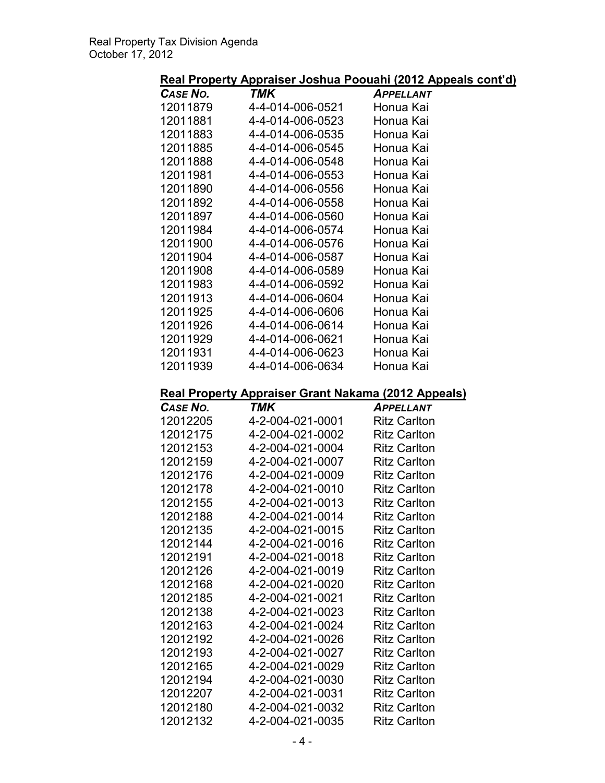Real Property Appraiser Joshua Poouahi (2012 Appeals cont'd)

| CASE NO.        | TMK                                                 | <b>APPELLANT</b>    |
|-----------------|-----------------------------------------------------|---------------------|
| 12011879        | 4-4-014-006-0521                                    | Honua Kai           |
| 12011881        | 4-4-014-006-0523                                    | Honua Kai           |
| 12011883        | 4-4-014-006-0535                                    | Honua Kai           |
| 12011885        | 4-4-014-006-0545                                    | Honua Kai           |
| 12011888        | 4-4-014-006-0548                                    | Honua Kai           |
| 12011981        | 4-4-014-006-0553                                    | Honua Kai           |
| 12011890        | 4-4-014-006-0556                                    | Honua Kai           |
| 12011892        | 4-4-014-006-0558                                    | Honua Kai           |
| 12011897        | 4-4-014-006-0560                                    | Honua Kai           |
| 12011984        | 4-4-014-006-0574                                    | Honua Kai           |
| 12011900        | 4-4-014-006-0576                                    | Honua Kai           |
| 12011904        | 4-4-014-006-0587                                    | Honua Kai           |
| 12011908        | 4-4-014-006-0589                                    | Honua Kai           |
| 12011983        | 4-4-014-006-0592                                    | Honua Kai           |
| 12011913        | 4-4-014-006-0604                                    | Honua Kai           |
| 12011925        | 4-4-014-006-0606                                    | Honua Kai           |
| 12011926        | 4-4-014-006-0614                                    | Honua Kai           |
| 12011929        | 4-4-014-006-0621                                    | Honua Kai           |
| 12011931        | 4-4-014-006-0623                                    | Honua Kai           |
| 12011939        | 4-4-014-006-0634                                    | Honua Kai           |
|                 |                                                     |                     |
|                 | Real Property Appraiser Grant Nakama (2012 Appeals) |                     |
| <b>CASE NO.</b> | <b>TMK</b>                                          | <b>APPELLANT</b>    |
| 12012205        | 4-2-004-021-0001                                    | <b>Ritz Carlton</b> |
| 12012175        | 4-2-004-021-0002                                    | <b>Ritz Carlton</b> |
| 12012153        | 4-2-004-021-0004                                    | <b>Ritz Carlton</b> |
| 12012159        | 4-2-004-021-0007                                    | <b>Ritz Carlton</b> |
| 12012176        | 4-2-004-021-0009                                    | <b>Ritz Carlton</b> |
| 12012178        | 4-2-004-021-0010                                    | <b>Ritz Carlton</b> |
| 12012155        | 4-2-004-021-0013                                    | <b>Ritz Carlton</b> |
| 12012188        | 4-2-004-021-0014                                    | <b>Ritz Carlton</b> |

| 1 Z U 1 Z 1 J J | T-2-VVT-V2 I-VVVI | ו <i>ו</i> ועב שפוונטוו |
|-----------------|-------------------|-------------------------|
| 12012176        | 4-2-004-021-0009  | <b>Ritz Carlton</b>     |
| 12012178        | 4-2-004-021-0010  | <b>Ritz Carlton</b>     |
| 12012155        | 4-2-004-021-0013  | <b>Ritz Carlton</b>     |
| 12012188        | 4-2-004-021-0014  | <b>Ritz Carlton</b>     |
| 12012135        | 4-2-004-021-0015  | <b>Ritz Carlton</b>     |
| 12012144        | 4-2-004-021-0016  | <b>Ritz Carlton</b>     |
| 12012191        | 4-2-004-021-0018  | <b>Ritz Carlton</b>     |
| 12012126        | 4-2-004-021-0019  | <b>Ritz Carlton</b>     |
| 12012168        | 4-2-004-021-0020  | <b>Ritz Carlton</b>     |
| 12012185        | 4-2-004-021-0021  | <b>Ritz Carlton</b>     |
| 12012138        | 4-2-004-021-0023  | <b>Ritz Carlton</b>     |
| 12012163        | 4-2-004-021-0024  | <b>Ritz Carlton</b>     |
| 12012192        | 4-2-004-021-0026  | <b>Ritz Carlton</b>     |
| 12012193        | 4-2-004-021-0027  | <b>Ritz Carlton</b>     |
| 12012165        | 4-2-004-021-0029  | <b>Ritz Carlton</b>     |
| 12012194        | 4-2-004-021-0030  | <b>Ritz Carlton</b>     |
| 12012207        | 4-2-004-021-0031  | <b>Ritz Carlton</b>     |
| 12012180        | 4-2-004-021-0032  | <b>Ritz Carlton</b>     |
| 12012132        | 4-2-004-021-0035  | <b>Ritz Carlton</b>     |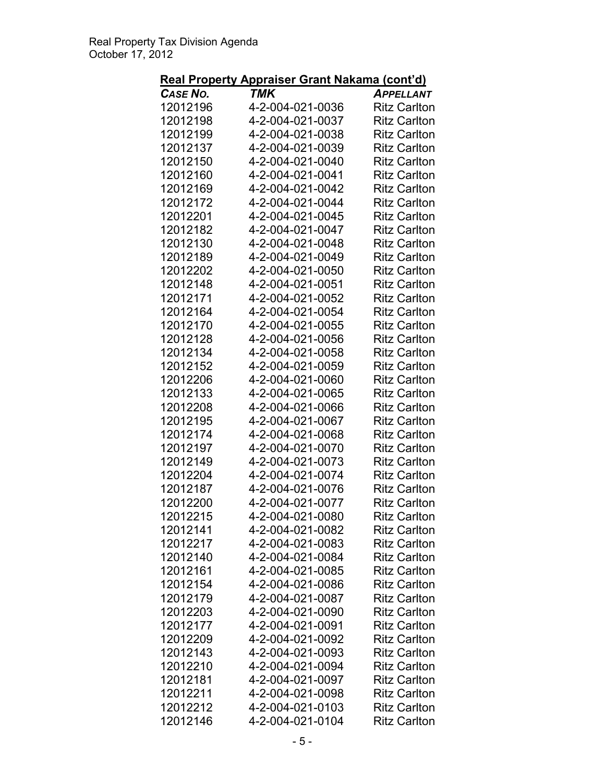# Real Property Appraiser Grant Nakama (cont'd)

| CASE NO.             | TMK                                  | <br><b>APPELLANT</b>                       |
|----------------------|--------------------------------------|--------------------------------------------|
| 12012196             | 4-2-004-021-0036                     | <b>Ritz Carlton</b>                        |
| 12012198             | 4-2-004-021-0037                     | <b>Ritz Carlton</b>                        |
| 12012199             | 4-2-004-021-0038                     | <b>Ritz Carlton</b>                        |
| 12012137             | 4-2-004-021-0039                     | <b>Ritz Carlton</b>                        |
| 12012150             | 4-2-004-021-0040                     | <b>Ritz Carlton</b>                        |
| 12012160             | 4-2-004-021-0041                     | <b>Ritz Carlton</b>                        |
| 12012169             | 4-2-004-021-0042                     | <b>Ritz Carlton</b>                        |
| 12012172             | 4-2-004-021-0044                     | <b>Ritz Carlton</b>                        |
| 12012201             | 4-2-004-021-0045                     | <b>Ritz Carlton</b>                        |
| 12012182             | 4-2-004-021-0047                     | <b>Ritz Carlton</b>                        |
| 12012130             | 4-2-004-021-0048                     | <b>Ritz Carlton</b>                        |
| 12012189             | 4-2-004-021-0049                     | <b>Ritz Carlton</b>                        |
| 12012202             | 4-2-004-021-0050                     | <b>Ritz Carlton</b>                        |
| 12012148             | 4-2-004-021-0051                     | <b>Ritz Carlton</b>                        |
| 12012171             | 4-2-004-021-0052                     | <b>Ritz Carlton</b>                        |
| 12012164             | 4-2-004-021-0054                     | <b>Ritz Carlton</b>                        |
| 12012170             | 4-2-004-021-0055                     | <b>Ritz Carlton</b>                        |
| 12012128             | 4-2-004-021-0056                     | <b>Ritz Carlton</b>                        |
| 12012134             | 4-2-004-021-0058                     | <b>Ritz Carlton</b>                        |
| 12012152             | 4-2-004-021-0059                     | <b>Ritz Carlton</b>                        |
| 12012206             | 4-2-004-021-0060                     | <b>Ritz Carlton</b>                        |
| 12012133             | 4-2-004-021-0065                     | <b>Ritz Carlton</b>                        |
| 12012208             | 4-2-004-021-0066                     | <b>Ritz Carlton</b>                        |
| 12012195             | 4-2-004-021-0067                     | <b>Ritz Carlton</b>                        |
| 12012174             | 4-2-004-021-0068                     | <b>Ritz Carlton</b>                        |
| 12012197             | 4-2-004-021-0070                     | <b>Ritz Carlton</b>                        |
| 12012149             | 4-2-004-021-0073                     | <b>Ritz Carlton</b>                        |
| 12012204             | 4-2-004-021-0074                     | <b>Ritz Carlton</b>                        |
| 12012187             | 4-2-004-021-0076                     | <b>Ritz Carlton</b>                        |
|                      |                                      | <b>Ritz Carlton</b>                        |
| 12012200<br>12012215 | 4-2-004-021-0077<br>4-2-004-021-0080 |                                            |
| 12012141             | 4-2-004-021-0082                     | <b>Ritz Carlton</b>                        |
|                      |                                      | <b>Ritz Carlton</b>                        |
| 12012217<br>12012140 | 4-2-004-021-0083<br>4-2-004-021-0084 | <b>Ritz Carlton</b><br><b>Ritz Carlton</b> |
| 12012161             | 4-2-004-021-0085                     | <b>Ritz Carlton</b>                        |
| 12012154             |                                      |                                            |
| 12012179             | 4-2-004-021-0086                     | <b>Ritz Carlton</b>                        |
|                      | 4-2-004-021-0087                     | <b>Ritz Carlton</b>                        |
| 12012203             | 4-2-004-021-0090                     | <b>Ritz Carlton</b>                        |
| 12012177<br>12012209 | 4-2-004-021-0091<br>4-2-004-021-0092 | <b>Ritz Carlton</b>                        |
|                      |                                      | <b>Ritz Carlton</b>                        |
| 12012143             | 4-2-004-021-0093                     | <b>Ritz Carlton</b>                        |
| 12012210             | 4-2-004-021-0094                     | <b>Ritz Carlton</b>                        |
| 12012181<br>12012211 | 4-2-004-021-0097                     | <b>Ritz Carlton</b>                        |
|                      | 4-2-004-021-0098                     | <b>Ritz Carlton</b>                        |
| 12012212             | 4-2-004-021-0103                     | <b>Ritz Carlton</b>                        |
| 12012146             | 4-2-004-021-0104                     | <b>Ritz Carlton</b>                        |